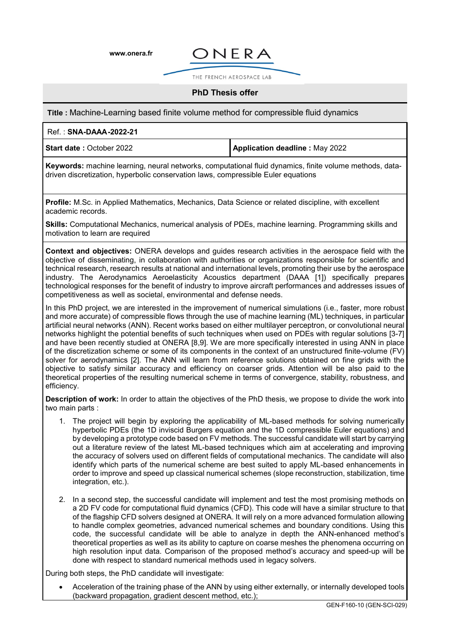**[www.onera.fr](http://www.onera.fr/)**



THE FRENCH AFROSPACE LAB

## **PhD Thesis offer**

**Title :** Machine-Learning based finite volume method for compressible fluid dynamics

## Ref. : **SNA-DAAA-2022-21**

**Start date :** October 2022 **Application deadline :** May 2022

**Keywords:** machine learning, neural networks, computational fluid dynamics, finite volume methods, datadriven discretization, hyperbolic conservation laws, compressible Euler equations

**Profile:** M.Sc. in Applied Mathematics, Mechanics, Data Science or related discipline, with excellent academic records.

**Skills:** Computational Mechanics, numerical analysis of PDEs, machine learning. Programming skills and motivation to learn are required

**Context and objectives:** ONERA develops and guides research activities in the aerospace field with the objective of disseminating, in collaboration with authorities or organizations responsible for scientific and technical research, research results at national and international levels, promoting their use by the aerospace industry. The Aerodynamics Aeroelasticity Acoustics department (DAAA [1]) specifically prepares technological responses for the benefit of industry to improve aircraft performances and addresses issues of competitiveness as well as societal, environmental and defense needs.

In this PhD project, we are interested in the improvement of numerical simulations (i.e., faster, more robust and more accurate) of compressible flows through the use of machine learning (ML) techniques, in particular artificial neural networks (ANN). Recent works based on either multilayer perceptron, or convolutional neural networks highlight the potential benefits of such techniques when used on PDEs with regular solutions [3-7] and have been recently studied at ONERA [8,9]. We are more specifically interested in using ANN in place of the discretization scheme or some of its components in the context of an unstructured finite-volume (FV) solver for aerodynamics [2]. The ANN will learn from reference solutions obtained on fine grids with the objective to satisfy similar accuracy and efficiency on coarser grids. Attention will be also paid to the theoretical properties of the resulting numerical scheme in terms of convergence, stability, robustness, and efficiency.

**Description of work:** In order to attain the objectives of the PhD thesis, we propose to divide the work into two main parts :

- 1. The project will begin by exploring the applicability of ML-based methods for solving numerically hyperbolic PDEs (the 1D inviscid Burgers equation and the 1D compressible Euler equations) and by developing a prototype code based on FV methods. The successful candidate will start by carrying out a literature review of the latest ML-based techniques which aim at accelerating and improving the accuracy of solvers used on different fields of computational mechanics. The candidate will also identify which parts of the numerical scheme are best suited to apply ML-based enhancements in order to improve and speed up classical numerical schemes (slope reconstruction, stabilization, time integration, etc.).
- 2. In a second step, the successful candidate will implement and test the most promising methods on a 2D FV code for computational fluid dynamics (CFD). This code will have a similar structure to that of the flagship CFD solvers designed at ONERA. It will rely on a more advanced formulation allowing to handle complex geometries, advanced numerical schemes and boundary conditions. Using this code, the successful candidate will be able to analyze in depth the ANN-enhanced method's theoretical properties as well as its ability to capture on coarse meshes the phenomena occurring on high resolution input data. Comparison of the proposed method's accuracy and speed-up will be done with respect to standard numerical methods used in legacy solvers.

During both steps, the PhD candidate will investigate:

• Acceleration of the training phase of the ANN by using either externally, or internally developed tools (backward propagation, gradient descent method, etc.);